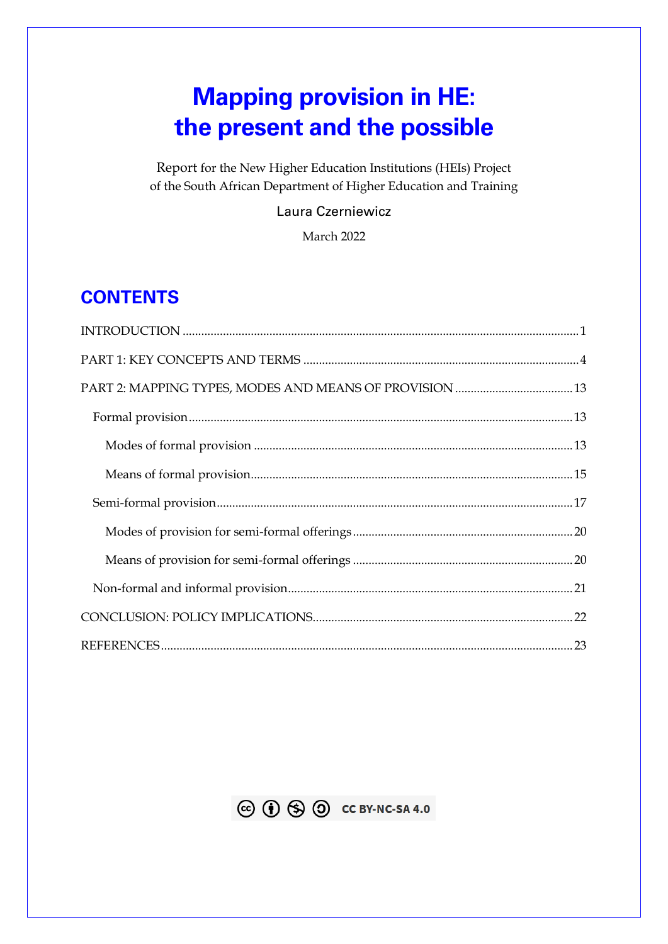# **Mapping provision in HE: the present and the possible**

Report for the New Higher Education Institutions (HEIs) Project of the South African Department of Higher Education and Training

### Laura Czerniewicz

March 2022

# **CONTENTS**

<span id="page-0-0"></span>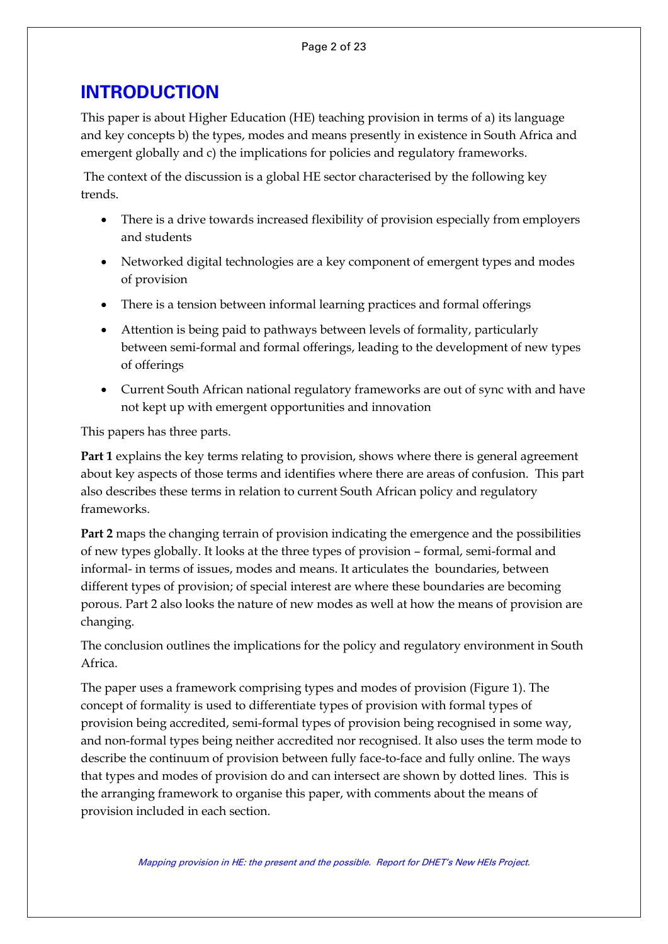## **INTRODUCTION**

This paper is about Higher Education (HE) teaching provision in terms of a) its language and key concepts b) the types, modes and means presently in existence in South Africa and emergent globally and c) the implications for policies and regulatory frameworks.

The context of the discussion is a global HE sector characterised by the following key trends.

- There is a drive towards increased flexibility of provision especially from employers and students
- Networked digital technologies are a key component of emergent types and modes of provision
- There is a tension between informal learning practices and formal offerings
- Attention is being paid to pathways between levels of formality, particularly between semi-formal and formal offerings, leading to the development of new types of offerings
- Current South African national regulatory frameworks are out of sync with and have not kept up with emergent opportunities and innovation

This papers has three parts.

**Part 1** explains the key terms relating to provision, shows where there is general agreement about key aspects of those terms and identifies where there are areas of confusion. This part also describes these terms in relation to current South African policy and regulatory frameworks.

**Part 2** maps the changing terrain of provision indicating the emergence and the possibilities of new types globally. It looks at the three types of provision – formal, semi-formal and informal- in terms of issues, modes and means. It articulates the boundaries, between different types of provision; of special interest are where these boundaries are becoming porous. Part 2 also looks the nature of new modes as well at how the means of provision are changing.

The conclusion outlines the implications for the policy and regulatory environment in South Africa.

The paper uses a framework comprising types and modes of provision (Figure 1). The concept of formality is used to differentiate types of provision with formal types of provision being accredited, semi-formal types of provision being recognised in some way, and non-formal types being neither accredited nor recognised. It also uses the term mode to describe the continuum of provision between fully face-to-face and fully online. The ways that types and modes of provision do and can intersect are shown by dotted lines. This is the arranging framework to organise this paper, with comments about the means of provision included in each section.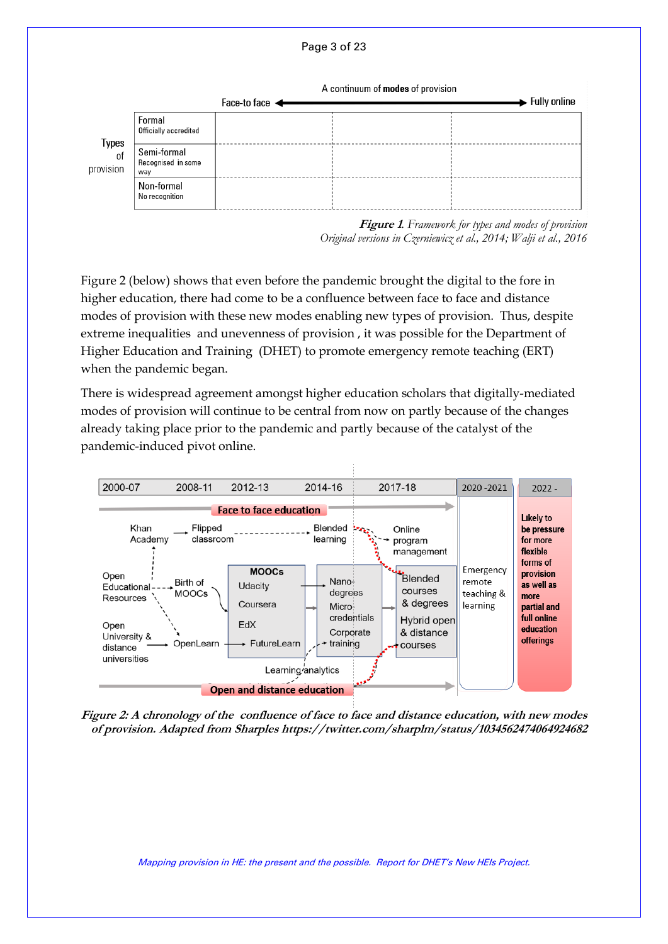



**Figure 1***. Framework for types and modes of provision Original versions in Czerniewicz et al., 2014; Walji et al., 2016*

Figure 2 (below) shows that even before the pandemic brought the digital to the fore in higher education, there had come to be a confluence between face to face and distance modes of provision with these new modes enabling new types of provision. Thus, despite extreme inequalities and unevenness of provision , it was possible for the Department of Higher Education and Training (DHET) to promote emergency remote teaching (ERT) when the pandemic began.

There is widespread agreement amongst higher education scholars that digitally-mediated modes of provision will continue to be central from now on partly because of the changes already taking place prior to the pandemic and partly because of the catalyst of the pandemic-induced pivot online.



**Figure 2: A chronology of the confluence of face to face and distance education, with new modes of provision. Adapted from Sharples https://twitter.com/sharplm/status/1034562474064924682**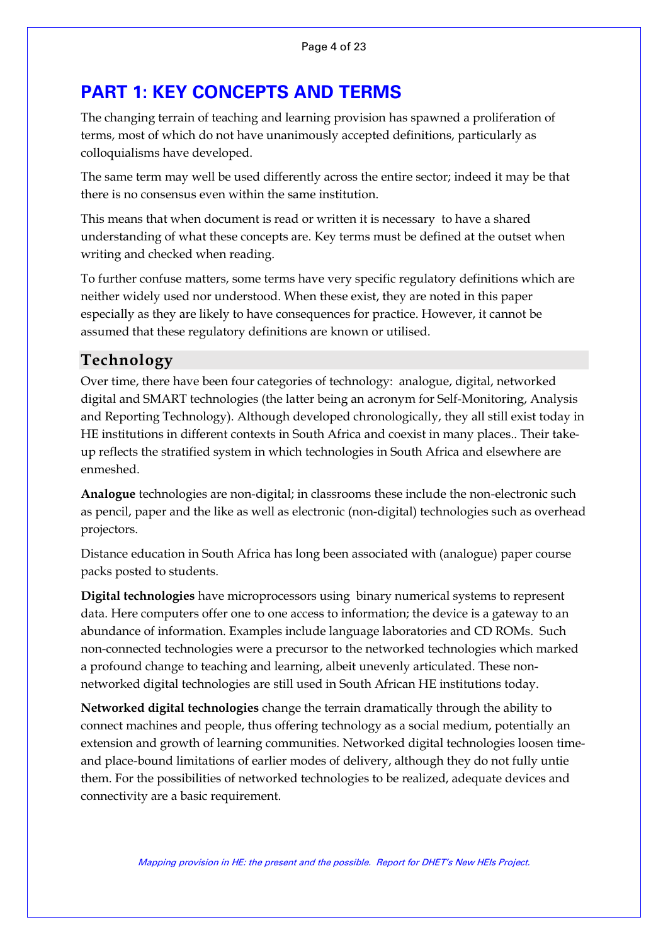# <span id="page-3-0"></span>**PART 1: KEY CONCEPTS AND TERMS**

The changing terrain of teaching and learning provision has spawned a proliferation of terms, most of which do not have unanimously accepted definitions, particularly as colloquialisms have developed.

The same term may well be used differently across the entire sector; indeed it may be that there is no consensus even within the same institution.

This means that when document is read or written it is necessary to have a shared understanding of what these concepts are. Key terms must be defined at the outset when writing and checked when reading.

To further confuse matters, some terms have very specific regulatory definitions which are neither widely used nor understood. When these exist, they are noted in this paper especially as they are likely to have consequences for practice. However, it cannot be assumed that these regulatory definitions are known or utilised.

### **Technology**

Over time, there have been four categories of technology: analogue, digital, networked digital and SMART technologies (the latter being an acronym for Self-Monitoring, Analysis and Reporting Technology). Although developed chronologically, they all still exist today in HE institutions in different contexts in South Africa and coexist in many places.. Their takeup reflects the stratified system in which technologies in South Africa and elsewhere are enmeshed.

**Analogue** technologies are non-digital; in classrooms these include the non-electronic such as pencil, paper and the like as well as electronic (non-digital) technologies such as overhead projectors.

Distance education in South Africa has long been associated with (analogue) paper course packs posted to students.

**Digital technologies** have microprocessors using binary numerical systems to represent data. Here computers offer one to one access to information; the device is a gateway to an abundance of information. Examples include language laboratories and CD ROMs. Such non-connected technologies were a precursor to the networked technologies which marked a profound change to teaching and learning, albeit unevenly articulated. These nonnetworked digital technologies are still used in South African HE institutions today.

**Networked digital technologies** change the terrain dramatically through the ability to connect machines and people, thus offering technology as a social medium, potentially an extension and growth of learning communities. Networked digital technologies loosen timeand place-bound limitations of earlier modes of delivery, although they do not fully untie them. For the possibilities of networked technologies to be realized, adequate devices and connectivity are a basic requirement.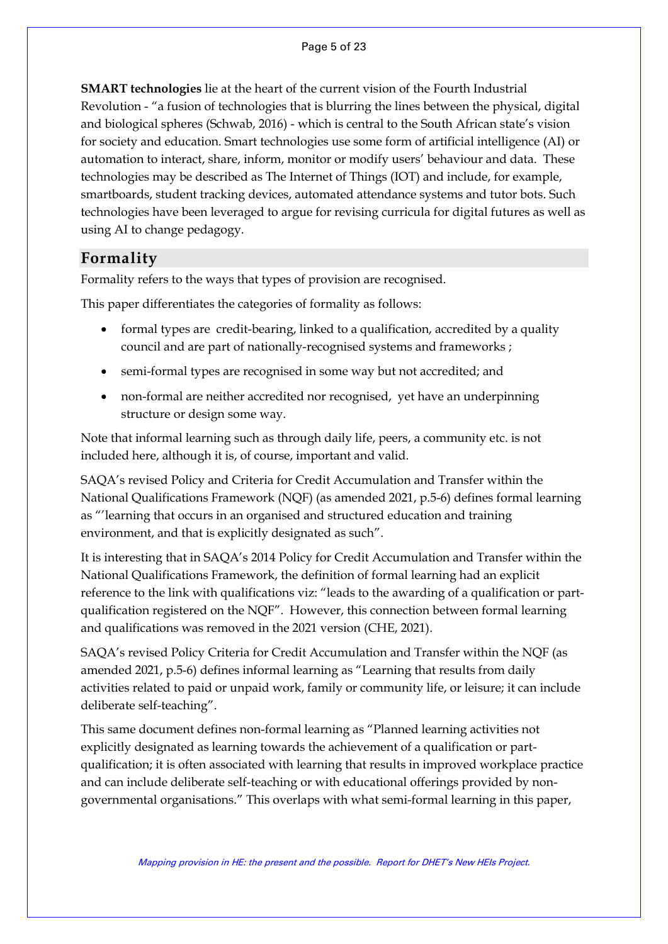**SMART technologies** lie at the heart of the current vision of the Fourth Industrial Revolution - "a fusion of technologies that is blurring the lines between the physical, digital and biological spheres (Schwab, 2016) - which is central to the South African state's vision for society and education. Smart technologies use some form of artificial intelligence (AI) or automation to interact, share, inform, monitor or modify users' behaviour and data. These technologies may be described as The Internet of Things (IOT) and include, for example, smartboards, student tracking devices, automated attendance systems and tutor bots. Such technologies have been leveraged to argue for revising curricula for digital futures as well as using AI to change pedagogy.

### **Formality**

Formality refers to the ways that types of provision are recognised.

This paper differentiates the categories of formality as follows:

- formal types are credit-bearing, linked to a qualification, accredited by a quality council and are part of nationally-recognised systems and frameworks ;
- semi-formal types are recognised in some way but not accredited; and
- non-formal are neither accredited nor recognised, yet have an underpinning structure or design some way.

Note that informal learning such as through daily life, peers, a community etc. is not included here, although it is, of course, important and valid.

SAQA's revised Policy and Criteria for Credit Accumulation and Transfer within the National Qualifications Framework (NQF) (as amended 2021, p.5-6) defines formal learning as "'learning that occurs in an organised and structured education and training environment, and that is explicitly designated as such".

It is interesting that in SAQA's 2014 Policy for Credit Accumulation and Transfer within the National Qualifications Framework, the definition of formal learning had an explicit reference to the link with qualifications viz: "leads to the awarding of a qualification or partqualification registered on the NQF". However, this connection between formal learning and qualifications was removed in the 2021 version (CHE, 2021).

SAQA's revised Policy Criteria for Credit Accumulation and Transfer within the NQF (as amended 2021, p.5-6) defines informal learning as "Learning that results from daily activities related to paid or unpaid work, family or community life, or leisure; it can include deliberate self-teaching".

This same document defines non-formal learning as "Planned learning activities not explicitly designated as learning towards the achievement of a qualification or partqualification; it is often associated with learning that results in improved workplace practice and can include deliberate self-teaching or with educational offerings provided by nongovernmental organisations." This overlaps with what semi-formal learning in this paper,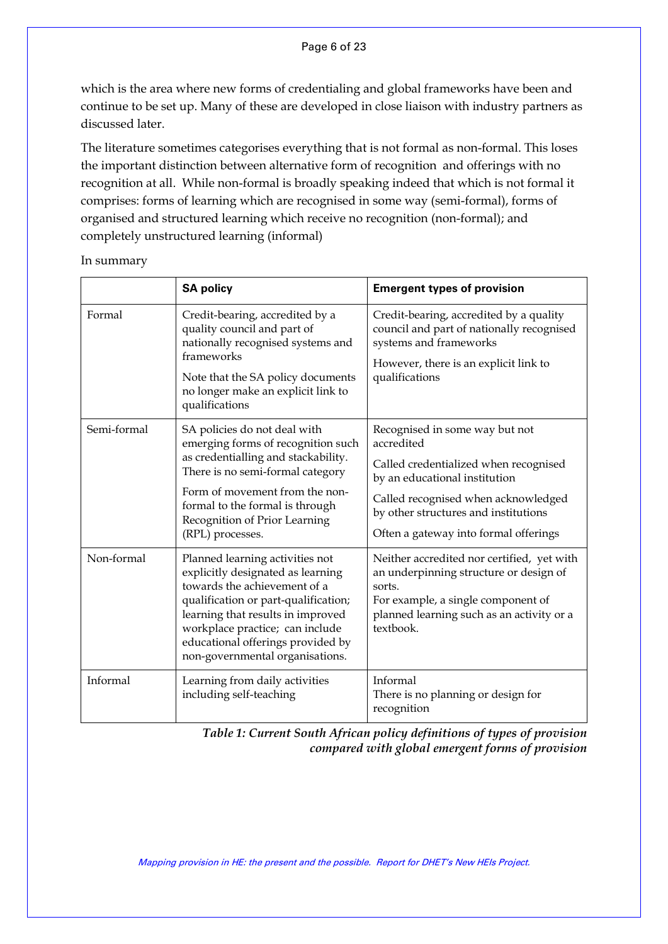#### Page 6 of 23

which is the area where new forms of credentialing and global frameworks have been and continue to be set up. Many of these are developed in close liaison with industry partners as discussed later.

The literature sometimes categorises everything that is not formal as non-formal. This loses the important distinction between alternative form of recognition and offerings with no recognition at all. While non-formal is broadly speaking indeed that which is not formal it comprises: forms of learning which are recognised in some way (semi-formal), forms of organised and structured learning which receive no recognition (non-formal); and completely unstructured learning (informal)

In summary

|             | <b>SA policy</b>                                                                                                                                                                                                                                                                             | <b>Emergent types of provision</b>                                                                                                                                                                                                             |
|-------------|----------------------------------------------------------------------------------------------------------------------------------------------------------------------------------------------------------------------------------------------------------------------------------------------|------------------------------------------------------------------------------------------------------------------------------------------------------------------------------------------------------------------------------------------------|
| Formal      | Credit-bearing, accredited by a<br>quality council and part of<br>nationally recognised systems and<br>frameworks<br>Note that the SA policy documents<br>no longer make an explicit link to<br>qualifications                                                                               | Credit-bearing, accredited by a quality<br>council and part of nationally recognised<br>systems and frameworks<br>However, there is an explicit link to<br>qualifications                                                                      |
| Semi-formal | SA policies do not deal with<br>emerging forms of recognition such<br>as credentialling and stackability.<br>There is no semi-formal category<br>Form of movement from the non-<br>formal to the formal is through<br>Recognition of Prior Learning<br>(RPL) processes.                      | Recognised in some way but not<br>accredited<br>Called credentialized when recognised<br>by an educational institution<br>Called recognised when acknowledged<br>by other structures and institutions<br>Often a gateway into formal offerings |
| Non-formal  | Planned learning activities not<br>explicitly designated as learning<br>towards the achievement of a<br>qualification or part-qualification;<br>learning that results in improved<br>workplace practice; can include<br>educational offerings provided by<br>non-governmental organisations. | Neither accredited nor certified, yet with<br>an underpinning structure or design of<br>sorts.<br>For example, a single component of<br>planned learning such as an activity or a<br>textbook.                                                 |
| Informal    | Learning from daily activities<br>including self-teaching                                                                                                                                                                                                                                    | Informal<br>There is no planning or design for<br>recognition                                                                                                                                                                                  |

*Table 1: Current South African policy definitions of types of provision compared with global emergent forms of provision*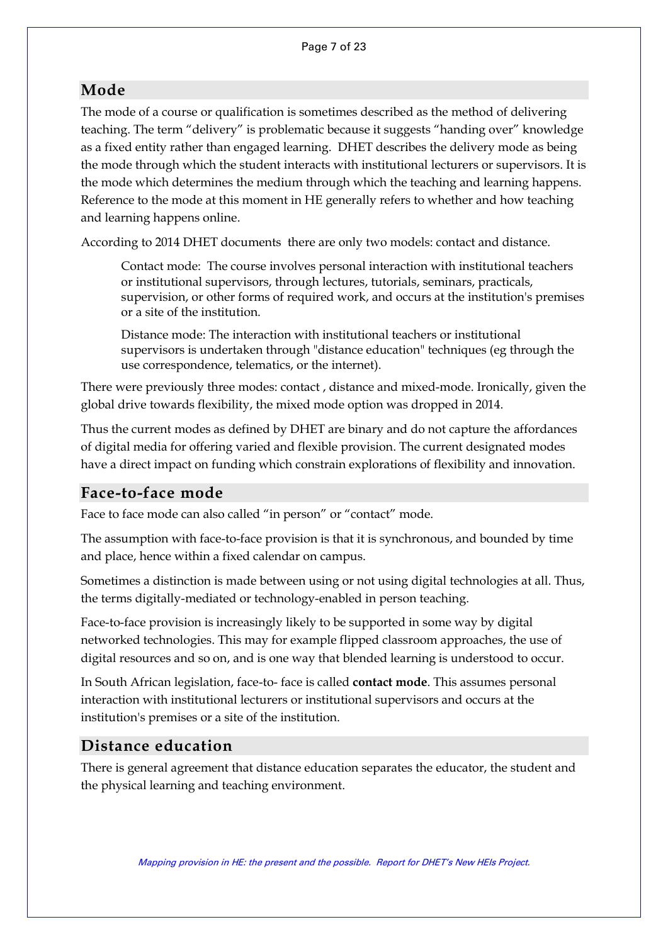### **Mode**

The mode of a course or qualification is sometimes described as the method of delivering teaching. The term "delivery" is problematic because it suggests "handing over" knowledge as a fixed entity rather than engaged learning. DHET describes the delivery mode as being the mode through which the student interacts with institutional lecturers or supervisors. It is the mode which determines the medium through which the teaching and learning happens. Reference to the mode at this moment in HE generally refers to whether and how teaching and learning happens online.

According to 2014 DHET documents there are only two models: contact and distance.

Contact mode: The course involves personal interaction with institutional teachers or institutional supervisors, through lectures, tutorials, seminars, practicals, supervision, or other forms of required work, and occurs at the institution's premises or a site of the institution.

Distance mode: The interaction with institutional teachers or institutional supervisors is undertaken through "distance education" techniques (eg through the use correspondence, telematics, or the internet).

There were previously three modes: contact , distance and mixed-mode. Ironically, given the global drive towards flexibility, the mixed mode option was dropped in 2014.

Thus the current modes as defined by DHET are binary and do not capture the affordances of digital media for offering varied and flexible provision. The current designated modes have a direct impact on funding which constrain explorations of flexibility and innovation.

### **Face-to-face mode**

Face to face mode can also called "in person" or "contact" mode.

The assumption with face-to-face provision is that it is synchronous, and bounded by time and place, hence within a fixed calendar on campus.

Sometimes a distinction is made between using or not using digital technologies at all. Thus, the terms digitally-mediated or technology-enabled in person teaching.

Face-to-face provision is increasingly likely to be supported in some way by digital networked technologies. This may for example flipped classroom approaches, the use of digital resources and so on, and is one way that blended learning is understood to occur.

In South African legislation, face-to- face is called **contact mode**. This assumes personal interaction with institutional lecturers or institutional supervisors and occurs at the institution's premises or a site of the institution.

### **Distance education**

There is general agreement that distance education separates the educator, the student and the physical learning and teaching environment.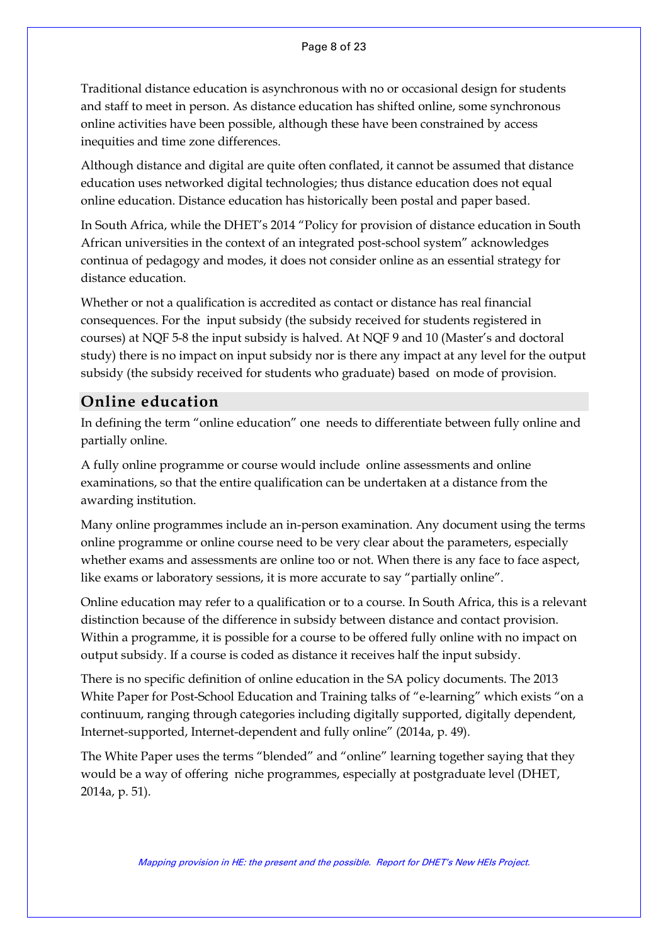Traditional distance education is asynchronous with no or occasional design for students and staff to meet in person. As distance education has shifted online, some synchronous online activities have been possible, although these have been constrained by access inequities and time zone differences.

Although distance and digital are quite often conflated, it cannot be assumed that distance education uses networked digital technologies; thus distance education does not equal online education. Distance education has historically been postal and paper based.

In South Africa, while the DHET's 2014 "Policy for provision of distance education in South African universities in the context of an integrated post-school system" acknowledges continua of pedagogy and modes, it does not consider online as an essential strategy for distance education.

Whether or not a qualification is accredited as contact or distance has real financial consequences. For the input subsidy (the subsidy received for students registered in courses) at NQF 5-8 the input subsidy is halved. At NQF 9 and 10 (Master's and doctoral study) there is no impact on input subsidy nor is there any impact at any level for the output subsidy (the subsidy received for students who graduate) based on mode of provision.

### **Online education**

In defining the term "online education" one needs to differentiate between fully online and partially online.

A fully online programme or course would include online assessments and online examinations, so that the entire qualification can be undertaken at a distance from the awarding institution.

Many online programmes include an in-person examination. Any document using the terms online programme or online course need to be very clear about the parameters, especially whether exams and assessments are online too or not. When there is any face to face aspect, like exams or laboratory sessions, it is more accurate to say "partially online".

Online education may refer to a qualification or to a course. In South Africa, this is a relevant distinction because of the difference in subsidy between distance and contact provision. Within a programme, it is possible for a course to be offered fully online with no impact on output subsidy. If a course is coded as distance it receives half the input subsidy.

There is no specific definition of online education in the SA policy documents. The 2013 White Paper for Post-School Education and Training talks of "e-learning" which exists "on a continuum, ranging through categories including digitally supported, digitally dependent, Internet-supported, Internet-dependent and fully online" (2014a, p. 49).

The White Paper uses the terms "blended" and "online" learning together saying that they would be a way of offering niche programmes, especially at postgraduate level (DHET, 2014a, p. 51).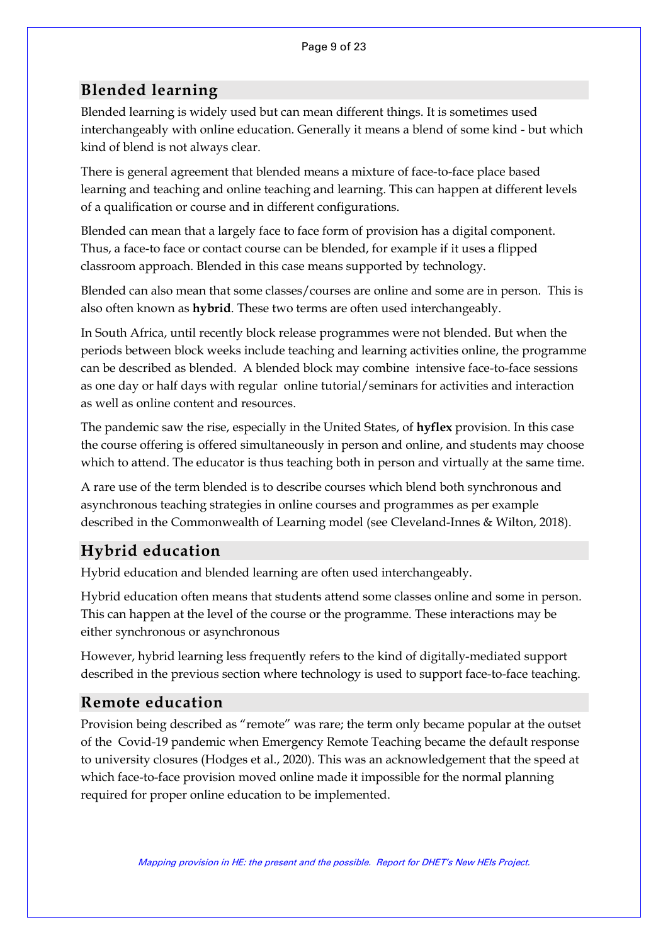### **Blended learning**

Blended learning is widely used but can mean different things. It is sometimes used interchangeably with online education. Generally it means a blend of some kind - but which kind of blend is not always clear.

There is general agreement that blended means a mixture of face-to-face place based learning and teaching and online teaching and learning. This can happen at different levels of a qualification or course and in different configurations.

Blended can mean that a largely face to face form of provision has a digital component. Thus, a face-to face or contact course can be blended, for example if it uses a flipped classroom approach. Blended in this case means supported by technology.

Blended can also mean that some classes/courses are online and some are in person. This is also often known as **hybrid**. These two terms are often used interchangeably.

In South Africa, until recently block release programmes were not blended. But when the periods between block weeks include teaching and learning activities online, the programme can be described as blended. A blended block may combine intensive face-to-face sessions as one day or half days with regular online tutorial/seminars for activities and interaction as well as online content and resources.

The pandemic saw the rise, especially in the United States, of **hyflex** provision. In this case the course offering is offered simultaneously in person and online, and students may choose which to attend. The educator is thus teaching both in person and virtually at the same time.

A rare use of the term blended is to describe courses which blend both synchronous and asynchronous teaching strategies in online courses and programmes as per example described in the Commonwealth of Learning model (see Cleveland-Innes & Wilton, 2018).

# **Hybrid education**

Hybrid education and blended learning are often used interchangeably.

Hybrid education often means that students attend some classes online and some in person. This can happen at the level of the course or the programme. These interactions may be either synchronous or asynchronous

However, hybrid learning less frequently refers to the kind of digitally-mediated support described in the previous section where technology is used to support face-to-face teaching.

### **Remote education**

Provision being described as "remote" was rare; the term only became popular at the outset of the Covid-19 pandemic when Emergency Remote Teaching became the default response to university closures (Hodges et al., 2020). This was an acknowledgement that the speed at which face-to-face provision moved online made it impossible for the normal planning required for proper online education to be implemented.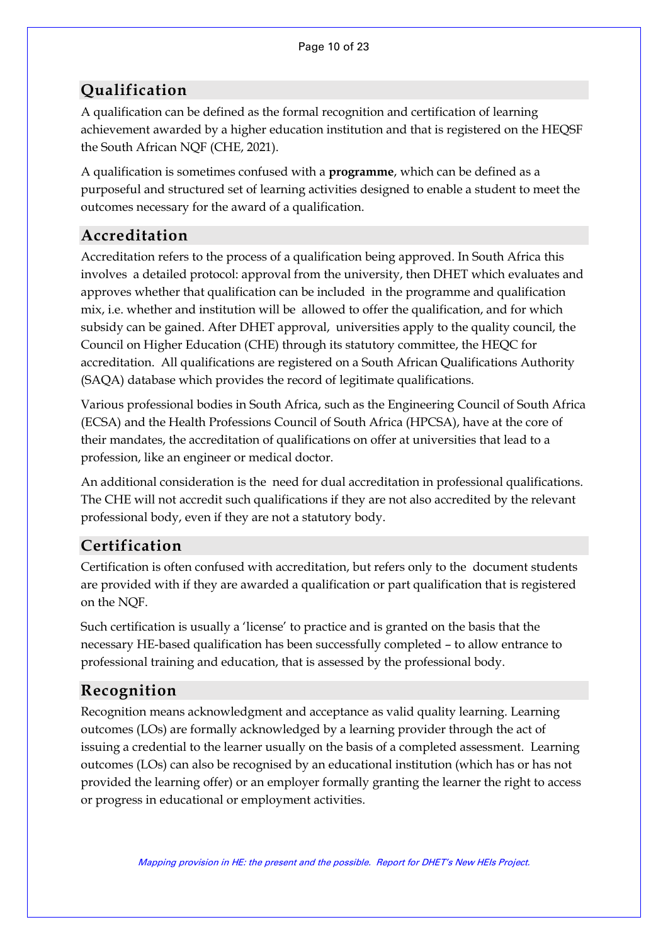## **Qualification**

A qualification can be defined as the formal recognition and certification of learning achievement awarded by a higher education institution and that is registered on the HEQSF the South African NQF (CHE, 2021).

A qualification is sometimes confused with a **programme**, which can be defined as a purposeful and structured set of learning activities designed to enable a student to meet the outcomes necessary for the award of a qualification.

### **Accreditation**

Accreditation refers to the process of a qualification being approved. In South Africa this involves a detailed protocol: approval from the university, then DHET which evaluates and approves whether that qualification can be included in the programme and qualification mix, i.e. whether and institution will be allowed to offer the qualification, and for which subsidy can be gained. After DHET approval, universities apply to the quality council, the Council on Higher Education (CHE) through its statutory committee, the HEQC for accreditation. All qualifications are registered on a South African Qualifications Authority (SAQA) database which provides the record of legitimate qualifications.

Various professional bodies in South Africa, such as the Engineering Council of South Africa (ECSA) and the Health Professions Council of South Africa (HPCSA), have at the core of their mandates, the accreditation of qualifications on offer at universities that lead to a profession, like an engineer or medical doctor.

An additional consideration is the need for dual accreditation in professional qualifications. The CHE will not accredit such qualifications if they are not also accredited by the relevant professional body, even if they are not a statutory body.

## **Certification**

Certification is often confused with accreditation, but refers only to the document students are provided with if they are awarded a qualification or part qualification that is registered on the NQF.

Such certification is usually a 'license' to practice and is granted on the basis that the necessary HE-based qualification has been successfully completed – to allow entrance to professional training and education, that is assessed by the professional body.

### **Recognition**

Recognition means acknowledgment and acceptance as valid quality learning. Learning outcomes (LOs) are formally acknowledged by a learning provider through the act of issuing a credential to the learner usually on the basis of a completed assessment. Learning outcomes (LOs) can also be recognised by an educational institution (which has or has not provided the learning offer) or an employer formally granting the learner the right to access or progress in educational or employment activities.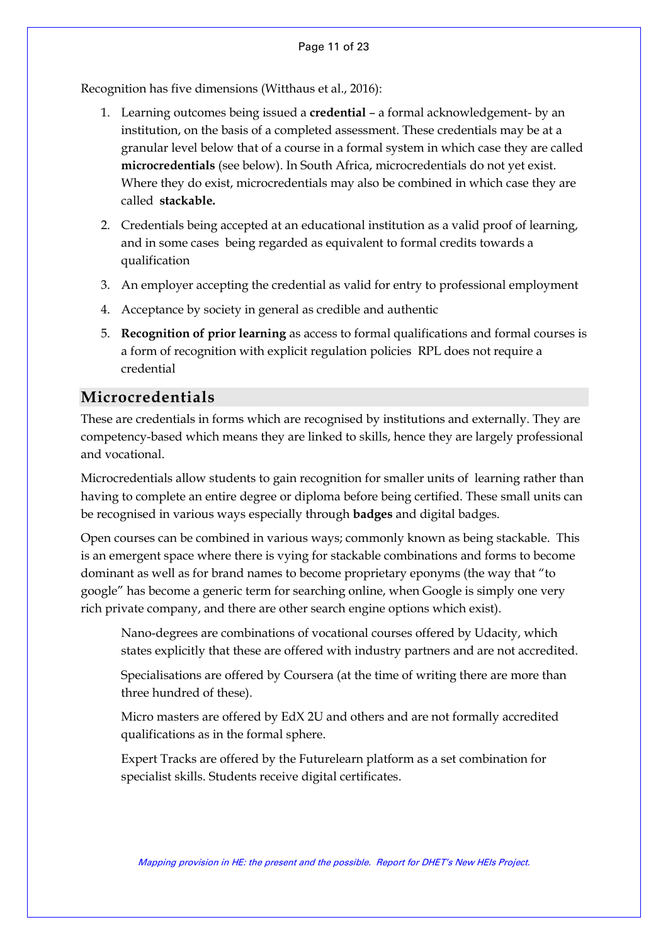Recognition has five dimensions (Witthaus et al., 2016):

- 1. Learning outcomes being issued a **credential** a formal acknowledgement- by an institution, on the basis of a completed assessment. These credentials may be at a granular level below that of a course in a formal system in which case they are called **microcredentials** (see below). In South Africa, microcredentials do not yet exist. Where they do exist, microcredentials may also be combined in which case they are called **stackable.**
- 2. Credentials being accepted at an educational institution as a valid proof of learning, and in some cases being regarded as equivalent to formal credits towards a qualification
- 3. An employer accepting the credential as valid for entry to professional employment
- 4. Acceptance by society in general as credible and authentic
- 5. **Recognition of prior learning** as access to formal qualifications and formal courses is a form of recognition with explicit regulation policies RPL does not require a credential

### **Microcredentials**

These are credentials in forms which are recognised by institutions and externally. They are competency-based which means they are linked to skills, hence they are largely professional and vocational.

Microcredentials allow students to gain recognition for smaller units of learning rather than having to complete an entire degree or diploma before being certified. These small units can be recognised in various ways especially through **badges** and digital badges.

Open courses can be combined in various ways; commonly known as being stackable. This is an emergent space where there is vying for stackable combinations and forms to become dominant as well as for brand names to become proprietary eponyms (the way that "to google" has become a generic term for searching online, when Google is simply one very rich private company, and there are other search engine options which exist).

Nano-degrees are combinations of vocational courses offered by Udacity, which states explicitly that these are offered with industry partners and are not accredited.

Specialisations are offered by Coursera (at the time of writing there are more than three hundred of these).

Micro masters are offered by EdX 2U and others and are not formally accredited qualifications as in the formal sphere.

Expert Tracks are offered by the Futurelearn platform as a set combination for specialist skills. Students receive digital certificates.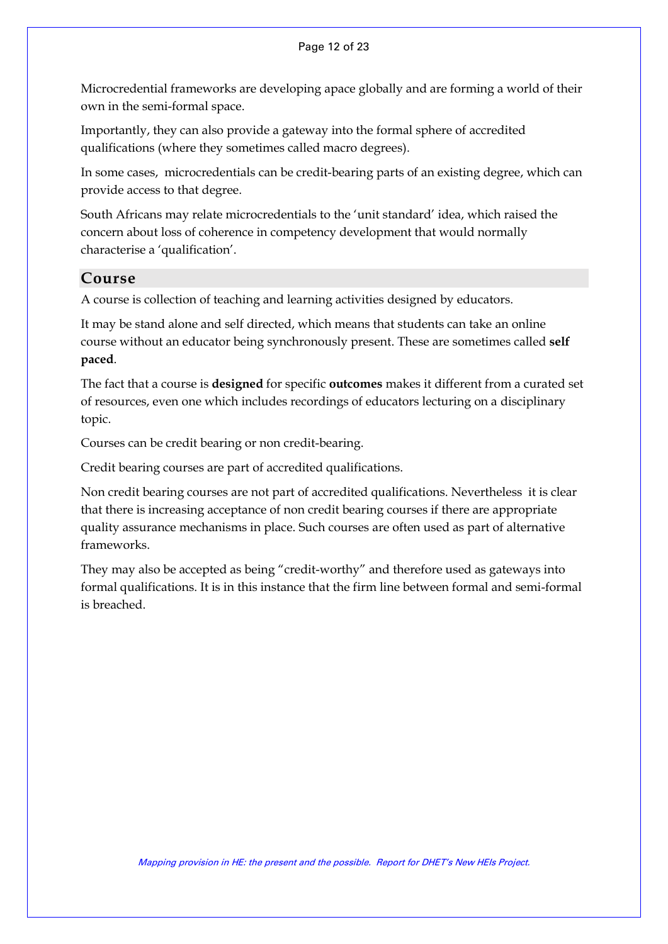Microcredential frameworks are developing apace globally and are forming a world of their own in the semi-formal space.

Importantly, they can also provide a gateway into the formal sphere of accredited qualifications (where they sometimes called macro degrees).

In some cases, microcredentials can be credit-bearing parts of an existing degree, which can provide access to that degree.

South Africans may relate microcredentials to the 'unit standard' idea, which raised the concern about loss of coherence in competency development that would normally characterise a 'qualification'.

### **Course**

A course is collection of teaching and learning activities designed by educators.

It may be stand alone and self directed, which means that students can take an online course without an educator being synchronously present. These are sometimes called **self paced**.

The fact that a course is **designed** for specific **outcomes** makes it different from a curated set of resources, even one which includes recordings of educators lecturing on a disciplinary topic.

Courses can be credit bearing or non credit-bearing.

Credit bearing courses are part of accredited qualifications.

Non credit bearing courses are not part of accredited qualifications. Nevertheless it is clear that there is increasing acceptance of non credit bearing courses if there are appropriate quality assurance mechanisms in place. Such courses are often used as part of alternative frameworks.

<span id="page-11-0"></span>They may also be accepted as being "credit-worthy" and therefore used as gateways into formal qualifications. It is in this instance that the firm line between formal and semi-formal is breached.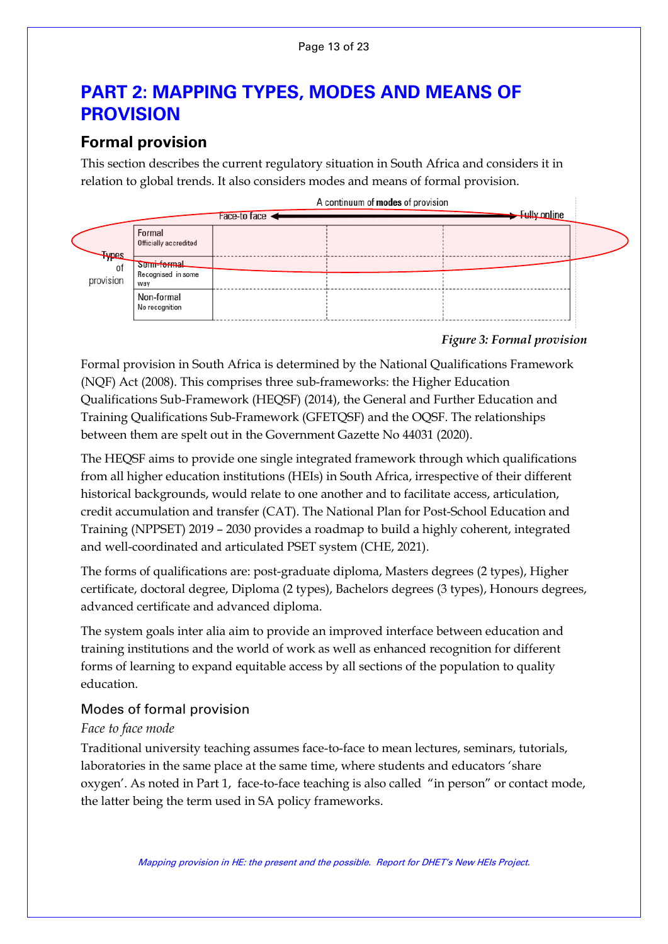# **PART 2: MAPPING TYPES, MODES AND MEANS OF PROVISION**

### <span id="page-12-0"></span>**Formal provision**

This section describes the current regulatory situation in South Africa and considers it in relation to global trends. It also considers modes and means of formal provision.



### *Figure 3: Formal provision*

Formal provision in South Africa is determined by the National Qualifications Framework (NQF) Act (2008). This comprises three sub-frameworks: the Higher Education Qualifications Sub-Framework (HEQSF) (2014), the General and Further Education and Training Qualifications Sub-Framework (GFETQSF) and the OQSF. The relationships between them are spelt out in the Government Gazette No 44031 (2020).

The HEQSF aims to provide one single integrated framework through which qualifications from all higher education institutions (HEIs) in South Africa, irrespective of their different historical backgrounds, would relate to one another and to facilitate access, articulation, credit accumulation and transfer (CAT). The National Plan for Post-School Education and Training (NPPSET) 2019 – 2030 provides a roadmap to build a highly coherent, integrated and well-coordinated and articulated PSET system (CHE, 2021).

The forms of qualifications are: post-graduate diploma, Masters degrees (2 types), Higher certificate, doctoral degree, Diploma (2 types), Bachelors degrees (3 types), Honours degrees, advanced certificate and advanced diploma.

The system goals inter alia aim to provide an improved interface between education and training institutions and the world of work as well as enhanced recognition for different forms of learning to expand equitable access by all sections of the population to quality education.

### <span id="page-12-1"></span>Modes of formal provision

#### *Face to face mode*

Traditional university teaching assumes face-to-face to mean lectures, seminars, tutorials, laboratories in the same place at the same time, where students and educators 'share oxygen'. As noted in Part 1, face-to-face teaching is also called "in person" or contact mode, the latter being the term used in SA policy frameworks.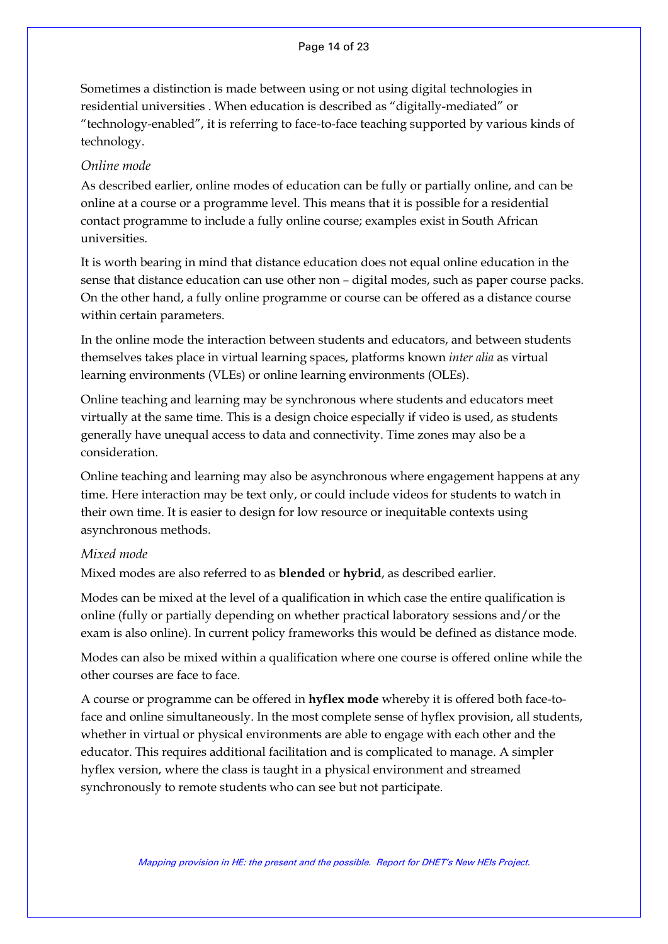#### Page 14 of 23

Sometimes a distinction is made between using or not using digital technologies in residential universities . When education is described as "digitally-mediated" or "technology-enabled", it is referring to face-to-face teaching supported by various kinds of technology.

#### *Online mode*

As described earlier, online modes of education can be fully or partially online, and can be online at a course or a programme level. This means that it is possible for a residential contact programme to include a fully online course; examples exist in South African universities.

It is worth bearing in mind that distance education does not equal online education in the sense that distance education can use other non – digital modes, such as paper course packs. On the other hand, a fully online programme or course can be offered as a distance course within certain parameters.

In the online mode the interaction between students and educators, and between students themselves takes place in virtual learning spaces, platforms known *inter alia* as virtual learning environments (VLEs) or online learning environments (OLEs).

Online teaching and learning may be synchronous where students and educators meet virtually at the same time. This is a design choice especially if video is used, as students generally have unequal access to data and connectivity. Time zones may also be a consideration.

Online teaching and learning may also be asynchronous where engagement happens at any time. Here interaction may be text only, or could include videos for students to watch in their own time. It is easier to design for low resource or inequitable contexts using asynchronous methods.

#### *Mixed mode*

Mixed modes are also referred to as **blended** or **hybrid**, as described earlier.

Modes can be mixed at the level of a qualification in which case the entire qualification is online (fully or partially depending on whether practical laboratory sessions and/or the exam is also online). In current policy frameworks this would be defined as distance mode.

Modes can also be mixed within a qualification where one course is offered online while the other courses are face to face.

A course or programme can be offered in **hyflex mode** whereby it is offered both face-toface and online simultaneously. In the most complete sense of hyflex provision, all students, whether in virtual or physical environments are able to engage with each other and the educator. This requires additional facilitation and is complicated to manage. A simpler hyflex version, where the class is taught in a physical environment and streamed synchronously to remote students who can see but not participate.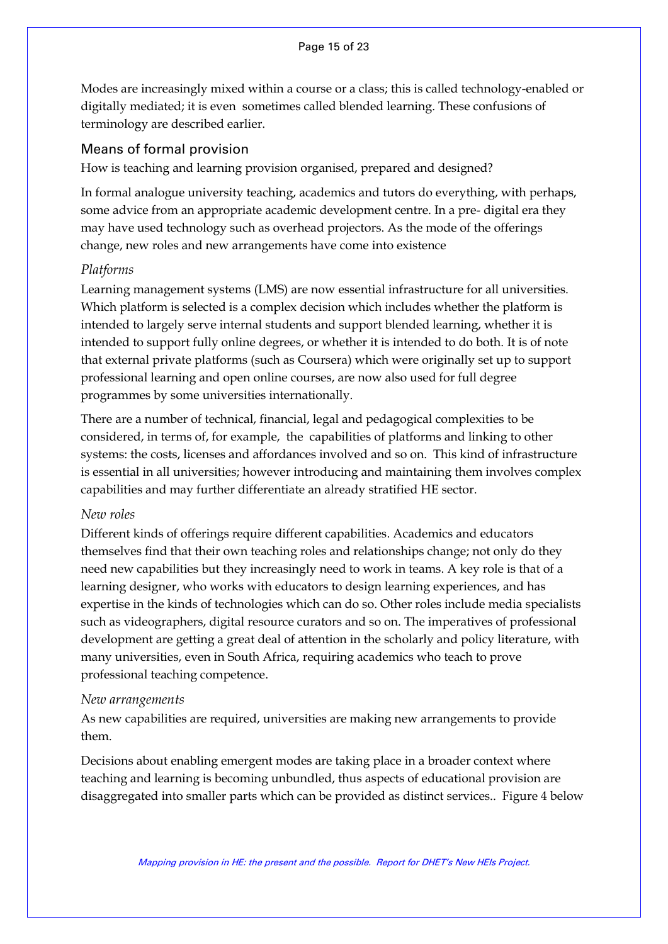Modes are increasingly mixed within a course or a class; this is called technology-enabled or digitally mediated; it is even sometimes called blended learning. These confusions of terminology are described earlier.

### <span id="page-14-0"></span>Means of formal provision

How is teaching and learning provision organised, prepared and designed?

In formal analogue university teaching, academics and tutors do everything, with perhaps, some advice from an appropriate academic development centre. In a pre- digital era they may have used technology such as overhead projectors. As the mode of the offerings change, new roles and new arrangements have come into existence

### *Platforms*

Learning management systems (LMS) are now essential infrastructure for all universities. Which platform is selected is a complex decision which includes whether the platform is intended to largely serve internal students and support blended learning, whether it is intended to support fully online degrees, or whether it is intended to do both. It is of note that external private platforms (such as Coursera) which were originally set up to support professional learning and open online courses, are now also used for full degree programmes by some universities internationally.

There are a number of technical, financial, legal and pedagogical complexities to be considered, in terms of, for example, the capabilities of platforms and linking to other systems: the costs, licenses and affordances involved and so on. This kind of infrastructure is essential in all universities; however introducing and maintaining them involves complex capabilities and may further differentiate an already stratified HE sector.

#### *New roles*

Different kinds of offerings require different capabilities. Academics and educators themselves find that their own teaching roles and relationships change; not only do they need new capabilities but they increasingly need to work in teams. A key role is that of a learning designer, who works with educators to design learning experiences, and has expertise in the kinds of technologies which can do so. Other roles include media specialists such as videographers, digital resource curators and so on. The imperatives of professional development are getting a great deal of attention in the scholarly and policy literature, with many universities, even in South Africa, requiring academics who teach to prove professional teaching competence.

#### *New arrangements*

As new capabilities are required, universities are making new arrangements to provide them.

Decisions about enabling emergent modes are taking place in a broader context where teaching and learning is becoming unbundled, thus aspects of educational provision are disaggregated into smaller parts which can be provided as distinct services.. Figure 4 below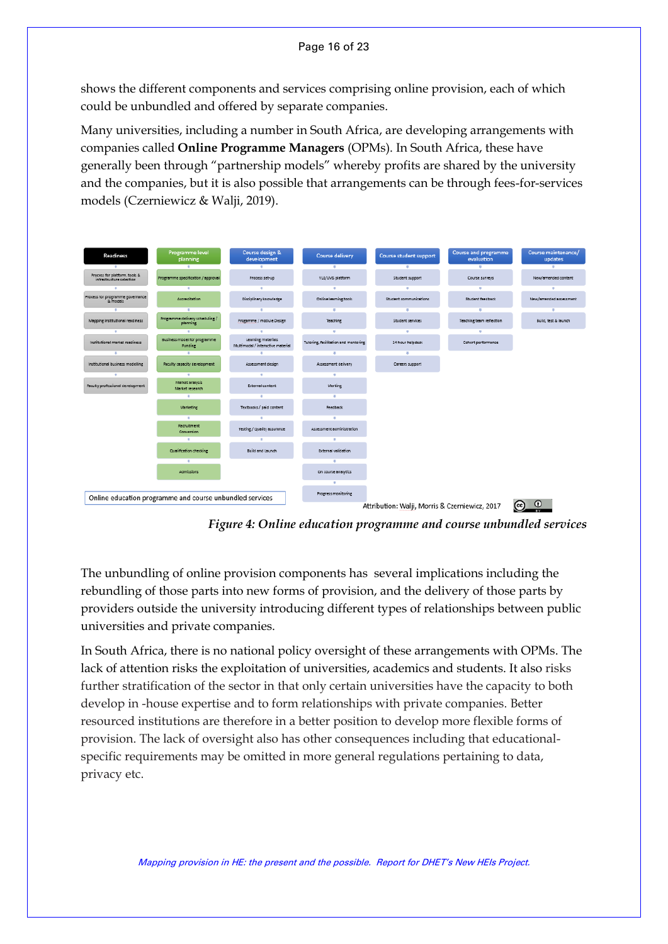shows the different components and services comprising online provision, each of which could be unbundled and offered by separate companies.

Many universities, including a number in South Africa, are developing arrangements with companies called **Online Programme Managers** (OPMs). In South Africa, these have generally been through "partnership models" whereby profits are shared by the university and the companies, but it is also possible that arrangements can be through fees-for-services models (Czerniewicz & Walji, 2019).



*Figure 4: Online education programme and course unbundled services*

The unbundling of online provision components has several implications including the rebundling of those parts into new forms of provision, and the delivery of those parts by providers outside the university introducing different types of relationships between public universities and private companies.

In South Africa, there is no national policy oversight of these arrangements with OPMs. The lack of attention risks the exploitation of universities, academics and students. It also risks further stratification of the sector in that only certain universities have the capacity to both develop in -house expertise and to form relationships with private companies. Better resourced institutions are therefore in a better position to develop more flexible forms of provision. The lack of oversight also has other consequences including that educationalspecific requirements may be omitted in more general regulations pertaining to data, privacy etc.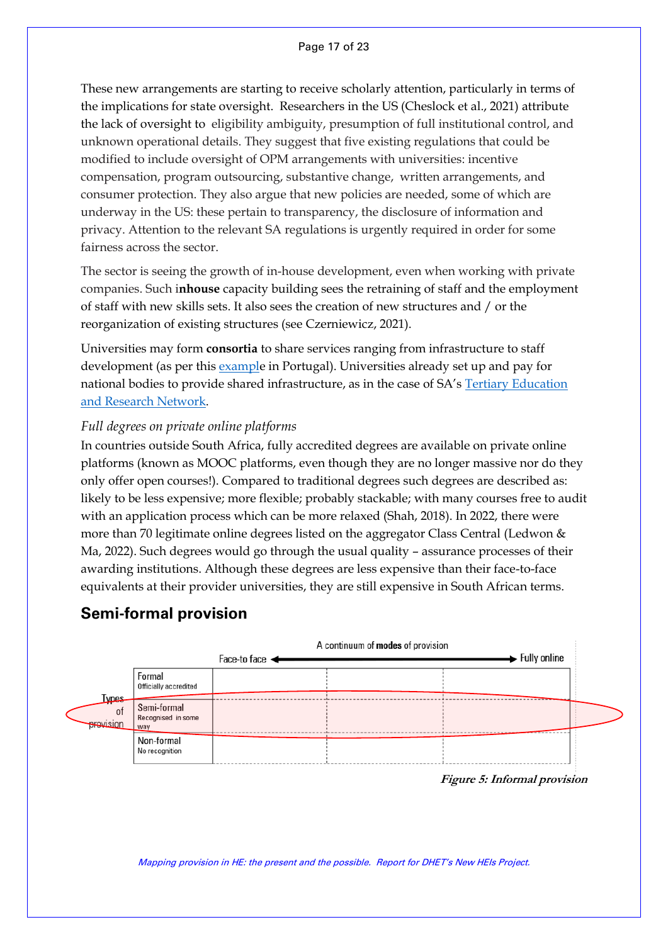These new arrangements are starting to receive scholarly attention, particularly in terms of the implications for state oversight. Researchers in the US (Cheslock et al., 2021) attribute the lack of oversight to eligibility ambiguity, presumption of full institutional control, and unknown operational details. They suggest that five existing regulations that could be modified to include oversight of OPM arrangements with universities: incentive compensation, program outsourcing, substantive change, written arrangements, and consumer protection. They also argue that new policies are needed, some of which are underway in the US: these pertain to transparency, the disclosure of information and privacy. Attention to the relevant SA regulations is urgently required in order for some fairness across the sector.

The sector is seeing the growth of in-house development, even when working with private companies. Such i**nhouse** capacity building sees the retraining of staff and the employment of staff with new skills sets. It also sees the creation of new structures and / or the reorganization of existing structures (see Czerniewicz, 2021).

Universities may form **consortia** to share services ranging from infrastructure to staff development (as per this [example](https://educationalist.eu/one-for-all-and-all-for-one-a-nationwide-vision-of-inter-institutional-faculty-development-3c194ecfbfb9) in Portugal). Universities already set up and pay for national bodies to provide shared infrastructure, as in the case of SA's [Tertiary Education](https://www.tenet.ac.za/)  [and Research Network.](https://www.tenet.ac.za/)

#### *Full degrees on private online platforms*

In countries outside South Africa, fully accredited degrees are available on private online platforms (known as MOOC platforms, even though they are no longer massive nor do they only offer open courses!). Compared to traditional degrees such degrees are described as: likely to be less expensive; more flexible; probably stackable; with many courses free to audit with an application process which can be more relaxed (Shah, 2018). In 2022, there were more than 70 legitimate online degrees listed on the aggregator Class Central (Ledwon & Ma, 2022). Such degrees would go through the usual quality – assurance processes of their awarding institutions. Although these degrees are less expensive than their face-to-face equivalents at their provider universities, they are still expensive in South African terms.

### <span id="page-16-0"></span>**Semi-formal provision**

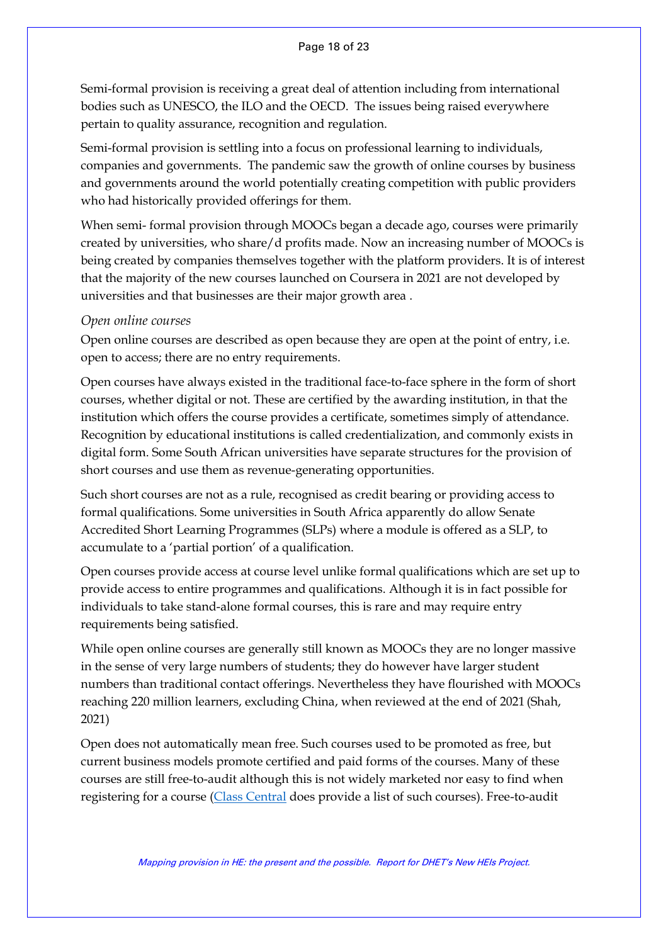Semi-formal provision is receiving a great deal of attention including from international bodies such as UNESCO, the ILO and the OECD. The issues being raised everywhere pertain to quality assurance, recognition and regulation.

Semi-formal provision is settling into a focus on professional learning to individuals, companies and governments. The pandemic saw the growth of online courses by business and governments around the world potentially creating competition with public providers who had historically provided offerings for them.

When semi- formal provision through MOOCs began a decade ago, courses were primarily created by universities, who share/d profits made. Now an increasing number of MOOCs is being created by companies themselves together with the platform providers. It is of interest that the majority of the new courses launched on Coursera in 2021 are not developed by universities and that businesses are their major growth area .

#### *Open online courses*

Open online courses are described as open because they are open at the point of entry, i.e. open to access; there are no entry requirements.

Open courses have always existed in the traditional face-to-face sphere in the form of short courses, whether digital or not. These are certified by the awarding institution, in that the institution which offers the course provides a certificate, sometimes simply of attendance. Recognition by educational institutions is called credentialization, and commonly exists in digital form. Some South African universities have separate structures for the provision of short courses and use them as revenue-generating opportunities.

Such short courses are not as a rule, recognised as credit bearing or providing access to formal qualifications. Some universities in South Africa apparently do allow Senate Accredited Short Learning Programmes (SLPs) where a module is offered as a SLP, to accumulate to a 'partial portion' of a qualification.

Open courses provide access at course level unlike formal qualifications which are set up to provide access to entire programmes and qualifications. Although it is in fact possible for individuals to take stand-alone formal courses, this is rare and may require entry requirements being satisfied.

While open online courses are generally still known as MOOCs they are no longer massive in the sense of very large numbers of students; they do however have larger student numbers than traditional contact offerings. Nevertheless they have flourished with MOOCs reaching 220 million learners, excluding China, when reviewed at the end of 2021 (Shah, 2021)

Open does not automatically mean free. Such courses used to be promoted as free, but current business models promote certified and paid forms of the courses. Many of these courses are still free-to-audit although this is not widely marketed nor easy to find when registering for a course [\(Class Central](https://www.classcentral.com/) does provide a list of such courses). Free-to-audit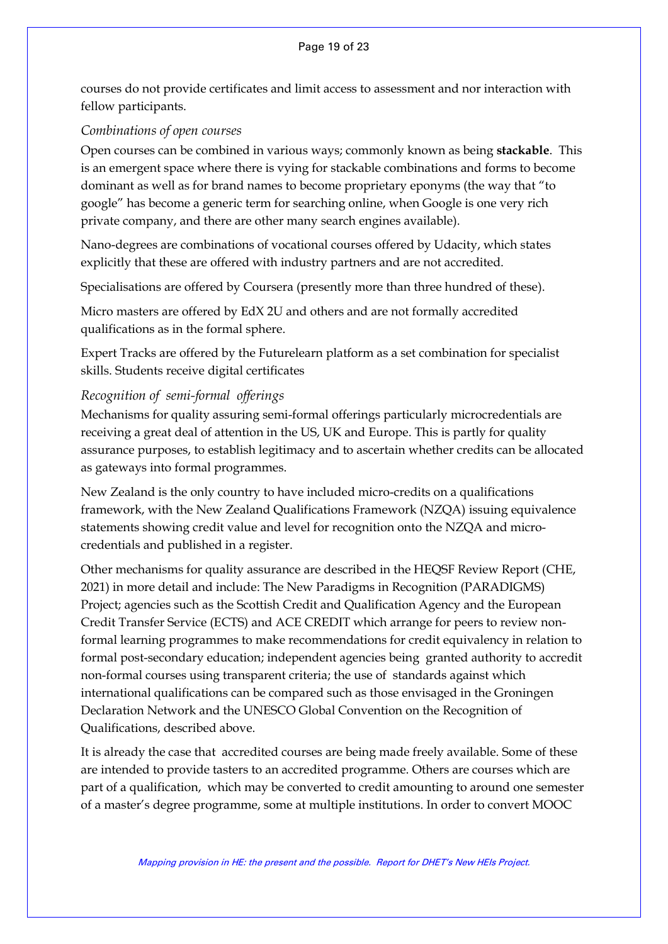courses do not provide certificates and limit access to assessment and nor interaction with fellow participants.

#### *Combinations of open courses*

Open courses can be combined in various ways; commonly known as being **stackable**. This is an emergent space where there is vying for stackable combinations and forms to become dominant as well as for brand names to become proprietary eponyms (the way that "to google" has become a generic term for searching online, when Google is one very rich private company, and there are other many search engines available).

Nano-degrees are combinations of vocational courses offered by Udacity, which states explicitly that these are offered with industry partners and are not accredited.

Specialisations are offered by Coursera (presently more than three hundred of these).

Micro masters are offered by EdX 2U and others and are not formally accredited qualifications as in the formal sphere.

Expert Tracks are offered by the Futurelearn platform as a set combination for specialist skills. Students receive digital certificates

### *Recognition of semi-formal offerings*

Mechanisms for quality assuring semi-formal offerings particularly microcredentials are receiving a great deal of attention in the US, UK and Europe. This is partly for quality assurance purposes, to establish legitimacy and to ascertain whether credits can be allocated as gateways into formal programmes.

New Zealand is the only country to have included micro-credits on a qualifications framework, with the New Zealand Qualifications Framework (NZQA) issuing equivalence statements showing credit value and level for recognition onto the NZQA and microcredentials and published in a [register.](https://www.nzqa.govt.nz/nzqf/search/microcredentials.do)

Other mechanisms for quality assurance are described in the HEQSF Review Report (CHE, 2021) in more detail and include: The New Paradigms in Recognition (PARADIGMS) Project; agencies such as the Scottish Credit and Qualification Agency and the European Credit Transfer Service (ECTS) and ACE CREDIT which arrange for peers to review nonformal learning programmes to make recommendations for credit equivalency in relation to formal post-secondary education; independent agencies being granted authority to accredit non-formal courses using transparent criteria; the use of standards against which international qualifications can be compared such as those envisaged in the Groningen Declaration Network and the UNESCO Global Convention on the Recognition of Qualifications, described above.

It is already the case that accredited courses are being made freely available. Some of these are intended to provide tasters to an accredited programme. Others are courses which are part of a qualification, which may be converted to credit amounting to around one semester of a master's degree programme, some at multiple institutions. In order to convert MOOC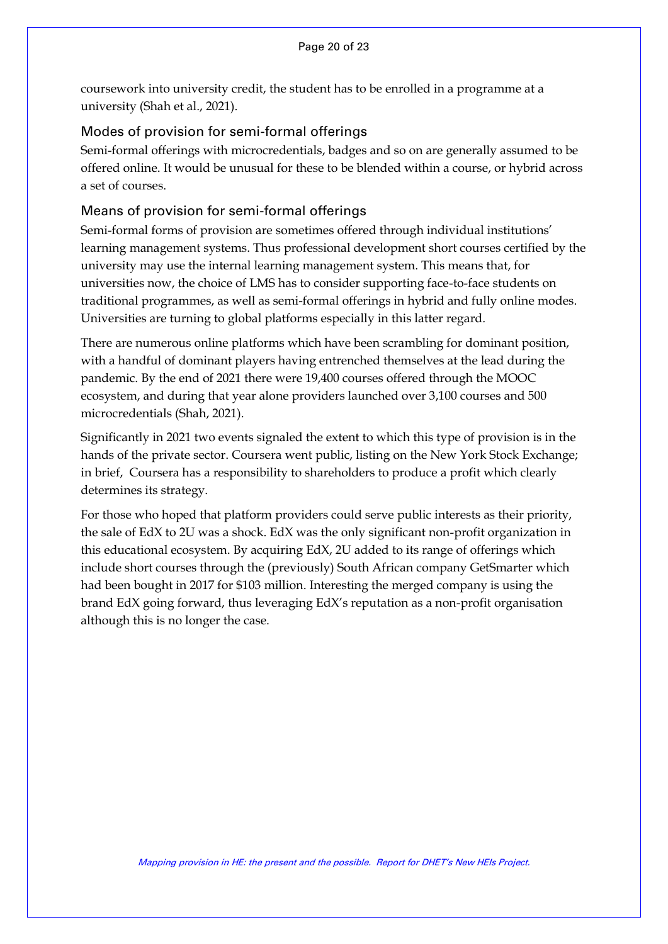coursework into university credit, the student has to be enrolled in a programme at a university (Shah et al., 2021).

#### <span id="page-19-0"></span>Modes of provision for semi-formal offerings

Semi-formal offerings with microcredentials, badges and so on are generally assumed to be offered online. It would be unusual for these to be blended within a course, or hybrid across a set of courses.

#### <span id="page-19-1"></span>Means of provision for semi-formal offerings

Semi-formal forms of provision are sometimes offered through individual institutions' learning management systems. Thus professional development short courses certified by the university may use the internal learning management system. This means that, for universities now, the choice of LMS has to consider supporting face-to-face students on traditional programmes, as well as semi-formal offerings in hybrid and fully online modes. Universities are turning to global platforms especially in this latter regard.

There are numerous online platforms which have been scrambling for dominant position, with a handful of dominant players having entrenched themselves at the lead during the pandemic. By the end of 2021 there were 19,400 courses offered through the MOOC ecosystem, and during that year alone providers launched over 3,100 courses and 500 microcredentials (Shah, 2021).

Significantly in 2021 two events signaled the extent to which this type of provision is in the hands of the private sector. Coursera went public, listing on the New York Stock Exchange; in brief, Coursera has a responsibility to shareholders to produce a profit which clearly determines its strategy.

For those who hoped that platform providers could serve public interests as their priority, the sale of EdX to 2U was a shock. EdX was the only significant non-profit organization in this educational ecosystem. By acquiring EdX, 2U added to its range of offerings which include short courses through the (previously) South African company GetSmarter which had been bought in 2017 for \$103 million. Interesting the merged company is using the brand EdX going forward, thus leveraging EdX's reputation as a non-profit organisation although this is no longer the case.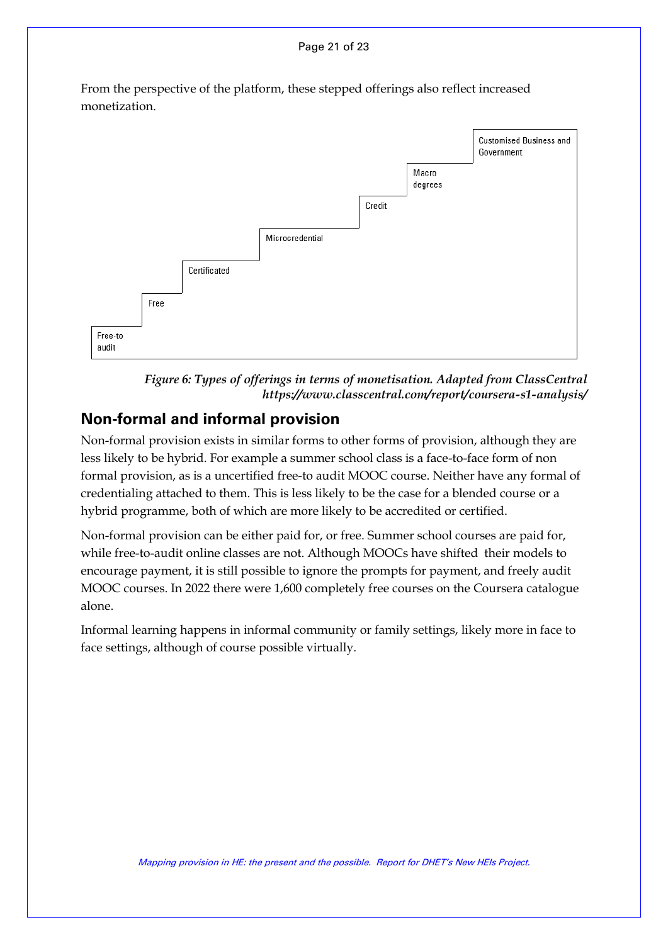#### Page 21 of 23

From the perspective of the platform, these stepped offerings also reflect increased monetization.





### <span id="page-20-0"></span>**Non-formal and informal provision**

Non-formal provision exists in similar forms to other forms of provision, although they are less likely to be hybrid. For example a summer school class is a face-to-face form of non formal provision, as is a uncertified free-to audit MOOC course. Neither have any formal of credentialing attached to them. This is less likely to be the case for a blended course or a hybrid programme, both of which are more likely to be accredited or certified.

Non-formal provision can be either paid for, or free. Summer school courses are paid for, while free-to-audit online classes are not. Although MOOCs have shifted their models to encourage payment, it is still possible to ignore the prompts for payment, and freely audit MOOC courses. In 2022 there were 1,600 completely free courses on the Coursera catalogue alone.

Informal learning happens in informal community or family settings, likely more in face to face settings, although of course possible virtually.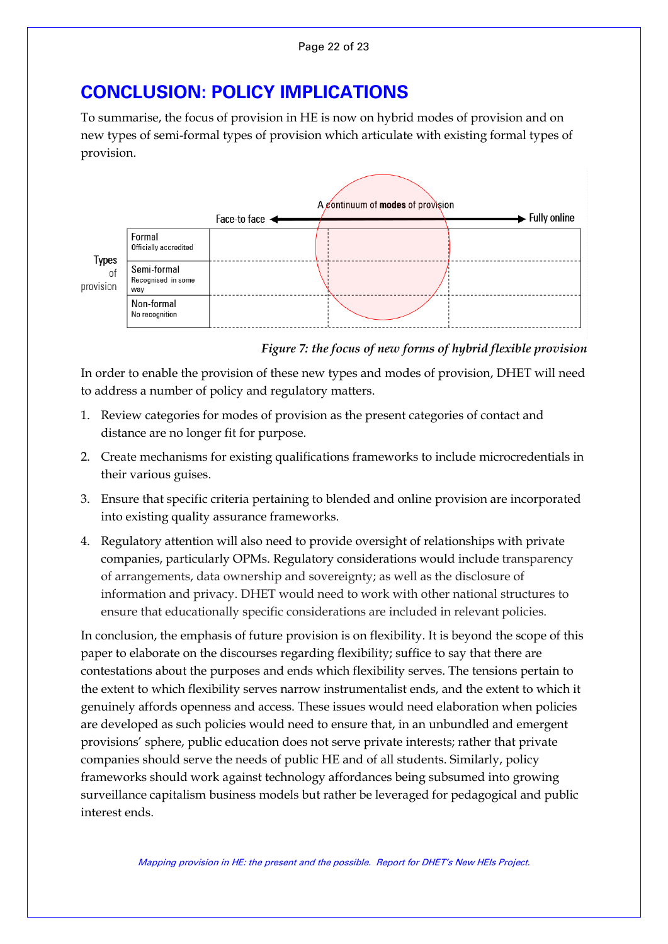# <span id="page-21-0"></span>**CONCLUSION: POLICY IMPLICATIONS**

To summarise, the focus of provision in HE is now on hybrid modes of provision and on new types of semi-formal types of provision which articulate with existing formal types of provision.



*Figure 7: the focus of new forms of hybrid flexible provision*

In order to enable the provision of these new types and modes of provision, DHET will need to address a number of policy and regulatory matters.

- 1. Review categories for modes of provision as the present categories of contact and distance are no longer fit for purpose.
- 2. Create mechanisms for existing qualifications frameworks to include microcredentials in their various guises.
- 3. Ensure that specific criteria pertaining to blended and online provision are incorporated into existing quality assurance frameworks.
- 4. Regulatory attention will also need to provide oversight of relationships with private companies, particularly OPMs. Regulatory considerations would include transparency of arrangements, data ownership and sovereignty; as well as the disclosure of information and privacy. DHET would need to work with other national structures to ensure that educationally specific considerations are included in relevant policies.

In conclusion, the emphasis of future provision is on flexibility. It is beyond the scope of this paper to elaborate on the discourses regarding flexibility; suffice to say that there are contestations about the purposes and ends which flexibility serves. The tensions pertain to the extent to which flexibility serves narrow instrumentalist ends, and the extent to which it genuinely affords openness and access. These issues would need elaboration when policies are developed as such policies would need to ensure that, in an unbundled and emergent provisions' sphere, public education does not serve private interests; rather that private companies should serve the needs of public HE and of all students. Similarly, policy frameworks should work against technology affordances being subsumed into growing surveillance capitalism business models but rather be leveraged for pedagogical and public interest ends.